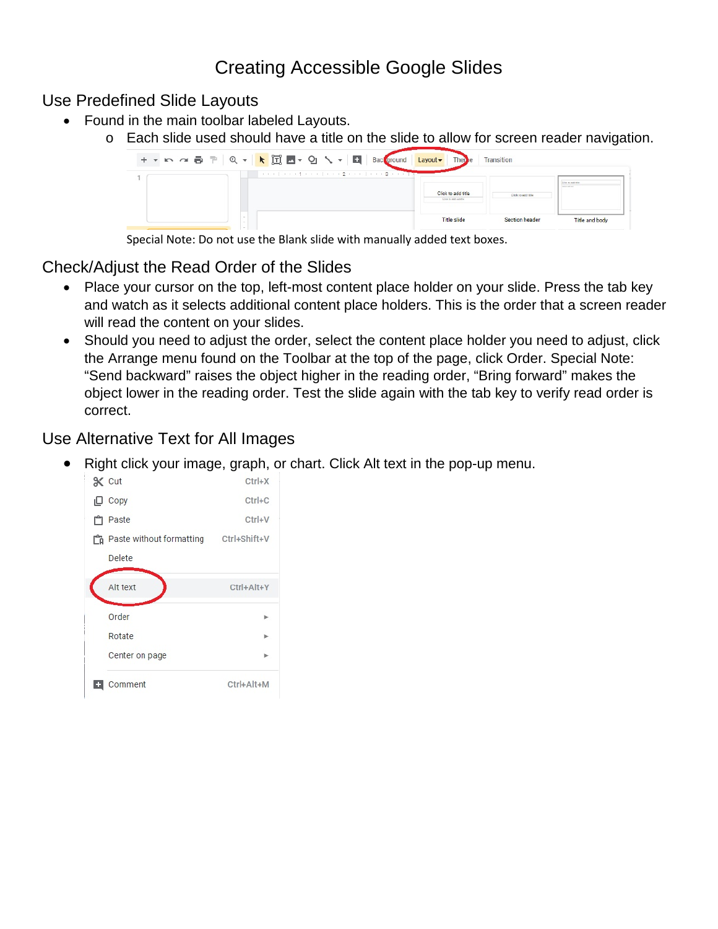## Creating Accessible Google Slides

Use Predefined Slide Layouts

- Found in the main toolbar labeled Layouts.
	- o Each slide used should have a title on the slide to allow for screen reader navigation.



Special Note: Do not use the Blank slide with manually added text boxes.

## Check/Adjust the Read Order of the Slides

- Place your cursor on the top, left-most content place holder on your slide. Press the tab key and watch as it selects additional content place holders. This is the order that a screen reader will read the content on your slides.
- Should you need to adjust the order, select the content place holder you need to adjust, click the Arrange menu found on the Toolbar at the top of the page, click Order. Special Note: "Send backward" raises the object higher in the reading order, "Bring forward" makes the object lower in the reading order. Test the slide again with the tab key to verify read order is correct.

## Use Alternative Text for All Images

• Right click your image, graph, or chart. Click Alt text in the pop-up menu.

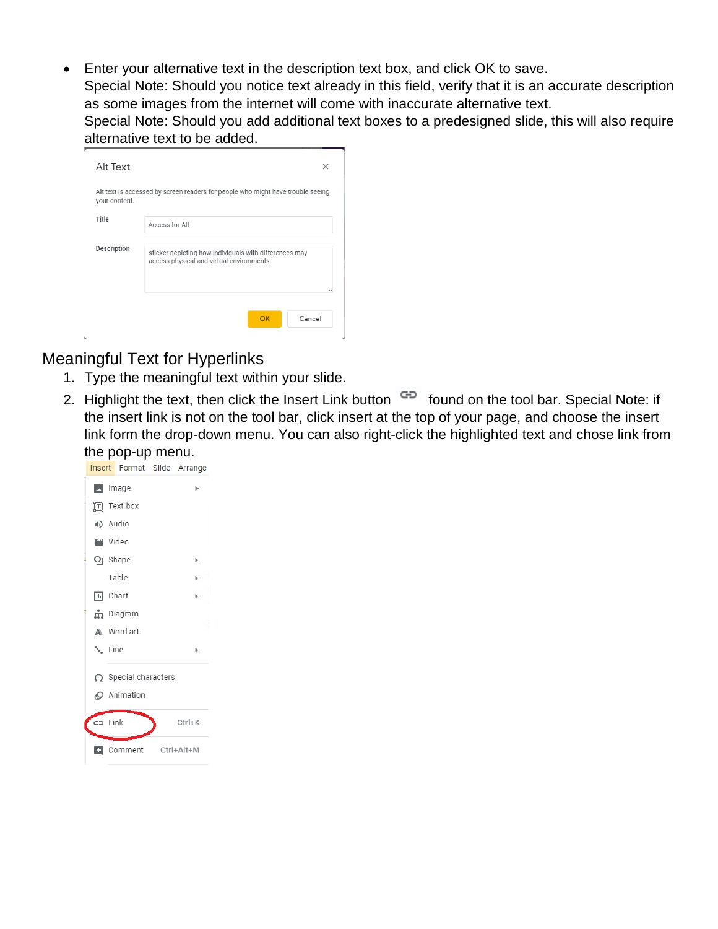• Enter your alternative text in the description text box, and click OK to save.

Special Note: Should you notice text already in this field, verify that it is an accurate description as some images from the internet will come with inaccurate alternative text.

Special Note: Should you add additional text boxes to a predesigned slide, this will also require alternative text to be added.

| your content. | Alt text is accessed by screen readers for people who might have trouble seeing                     |
|---------------|-----------------------------------------------------------------------------------------------------|
| Title         | Access for All                                                                                      |
| Description   | sticker depicting how individuals with differences may<br>access physical and virtual environments. |

## Meaningful Text for Hyperlinks

- 1. Type the meaningful text within your slide.
- 2. Highlight the text, then click the Insert Link button  $\epsilon$ <sup>D</sup> found on the tool bar. Special Note: if the insert link is not on the tool bar, click insert at the top of your page, and choose the insert link form the drop-down menu. You can also right-click the highlighted text and chose link from the pop-up menu.

|   |                             |  |  | <b>Insert</b> Format Slide Arrange |  |  |
|---|-----------------------------|--|--|------------------------------------|--|--|
|   | m Image                     |  |  |                                    |  |  |
|   | T Text box                  |  |  |                                    |  |  |
|   | (+) Audio                   |  |  |                                    |  |  |
|   | <b>WWW Video</b>            |  |  |                                    |  |  |
|   | $Q1$ Shape                  |  |  |                                    |  |  |
|   | Table                       |  |  |                                    |  |  |
|   | ili Chart                   |  |  |                                    |  |  |
|   | m Diagram                   |  |  |                                    |  |  |
|   | A Word art                  |  |  |                                    |  |  |
|   | Line                        |  |  |                                    |  |  |
|   | $\Omega$ Special characters |  |  |                                    |  |  |
|   | C Animation                 |  |  |                                    |  |  |
|   | GD Link                     |  |  | $Ctrl+K$                           |  |  |
| ы |                             |  |  | Comment Ctrl+Alt+M                 |  |  |
|   |                             |  |  |                                    |  |  |